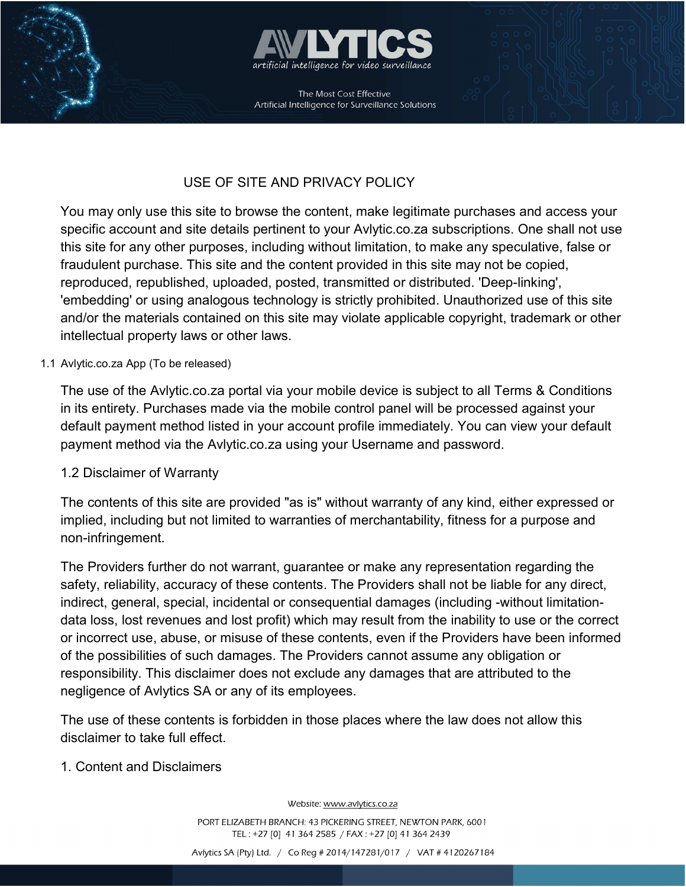



The Most Cost Effective Artificial Intelligence for Surveillance Solutions

ī

# USE OF SITE AND PRIVACY POLICY

You may only use this site to browse the content, make legitimate purchases and access your specific account and site details pertinent to your Avlytic.co.za subscriptions. One shall not use this site for any other purposes, including without limitation, to make any speculative, false or fraudulent purchase. This site and the content provided in this site may not be copied, reproduced, republished, uploaded, posted, transmitted or distributed. 'Deep-linking', 'embedding' or using analogous technology is strictly prohibited. Unauthorized use of this site and/or the materials contained on this site may violate applicable copyright, trademark or other intellectual property laws or other laws.

#### 1.1 Avlytic.co.za App (To be released)

The use of the Avlytic.co.za portal via your mobile device is subject to all Terms & Conditions in its entirety. Purchases made via the mobile control panel will be processed against your default payment method listed in your account profile immediately. You can view your default payment method via the Avlytic.co.za using your Username and password.

#### 1.2 Disclaimer of Warranty

The contents of this site are provided "as is" without warranty of any kind, either expressed or implied, including but not limited to warranties of merchantability, fitness for a purpose and non-infringement.

The Providers further do not warrant, guarantee or make any representation regarding the safety, reliability, accuracy of these contents. The Providers shall not be liable for any direct, indirect, general, special, incidental or consequential damages (including -without limitationdata loss, lost revenues and lost profit) which may result from the inability to use or the correct or incorrect use, abuse, or misuse of these contents, even if the Providers have been informed of the possibilities of such damages. The Providers cannot assume any obligation or responsibility. This disclaimer does not exclude any damages that are attributed to the negligence of Avlytics SA or any of its employees.

The use of these contents is forbidden in those places where the law does not allow this disclaimer to take full effect.

#### 1. Content and Disclaimers

Website: www.avlytics.co.za

PORT ELIZABETH BRANCH: 43 PICKERING STREET, NEWTON PARK, 6001 TEL: +27 [0] 41 364 2585 / FAX: +27 [0] 41 364 2439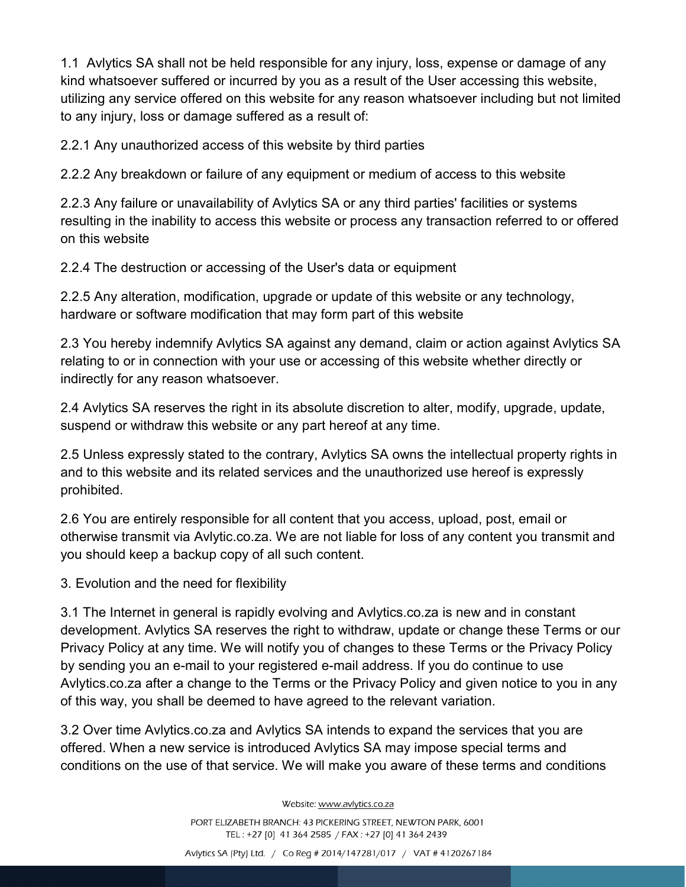1.1 Avlytics SA shall not be held responsible for any injury, loss, expense or damage of any kind whatsoever suffered or incurred by you as a result of the User accessing this website, utilizing any service offered on this website for any reason whatsoever including but not limited to any injury, loss or damage suffered as a result of:

2.2.1 Any unauthorized access of this website by third parties

2.2.2 Any breakdown or failure of any equipment or medium of access to this website

2.2.3 Any failure or unavailability of Avlytics SA or any third parties' facilities or systems resulting in the inability to access this website or process any transaction referred to or offered on this website

2.2.4 The destruction or accessing of the User's data or equipment

2.2.5 Any alteration, modification, upgrade or update of this website or any technology, hardware or software modification that may form part of this website

2.3 You hereby indemnify Avlytics SA against any demand, claim or action against Avlytics SA relating to or in connection with your use or accessing of this website whether directly or indirectly for any reason whatsoever.

2.4 Avlytics SA reserves the right in its absolute discretion to alter, modify, upgrade, update, suspend or withdraw this website or any part hereof at any time.

2.5 Unless expressly stated to the contrary, Avlytics SA owns the intellectual property rights in and to this website and its related services and the unauthorized use hereof is expressly prohibited.

2.6 You are entirely responsible for all content that you access, upload, post, email or otherwise transmit via Avlytic.co.za. We are not liable for loss of any content you transmit and you should keep a backup copy of all such content.

3. Evolution and the need for flexibility

3.1 The Internet in general is rapidly evolving and Avlytics.co.za is new and in constant development. Avlytics SA reserves the right to withdraw, update or change these Terms or our Privacy Policy at any time. We will notify you of changes to these Terms or the Privacy Policy by sending you an e-mail to your registered e-mail address. If you do continue to use Avlytics.co.za after a change to the Terms or the Privacy Policy and given notice to you in any of this way, you shall be deemed to have agreed to the relevant variation.

3.2 Over time Avlytics.co.za and Avlytics SA intends to expand the services that you are offered. When a new service is introduced Avlytics SA may impose special terms and conditions on the use of that service. We will make you aware of these terms and conditions

Website: www.avlytics.co.za

PORT ELIZABETH BRANCH: 43 PICKERING STREET, NEWTON PARK, 6001 TEL: +27 [0] 41 364 2585 / FAX: +27 [0] 41 364 2439

Avlytics SA (Pty) Ltd. / Co Reg # 2014/147281/017 / VAT # 4120267184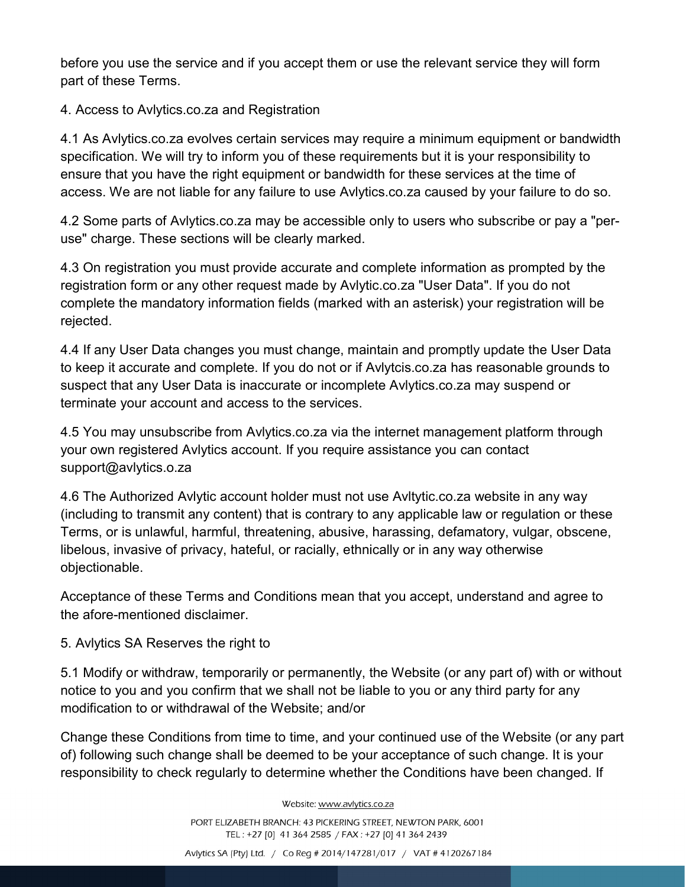before you use the service and if you accept them or use the relevant service they will form part of these Terms.

4. Access to Avlytics.co.za and Registration

4.1 As Avlytics.co.za evolves certain services may require a minimum equipment or bandwidth specification. We will try to inform you of these requirements but it is your responsibility to ensure that you have the right equipment or bandwidth for these services at the time of access. We are not liable for any failure to use Avlytics.co.za caused by your failure to do so.

4.2 Some parts of Avlytics.co.za may be accessible only to users who subscribe or pay a "peruse" charge. These sections will be clearly marked.

4.3 On registration you must provide accurate and complete information as prompted by the registration form or any other request made by Avlytic.co.za "User Data". If you do not complete the mandatory information fields (marked with an asterisk) your registration will be rejected.

4.4 If any User Data changes you must change, maintain and promptly update the User Data to keep it accurate and complete. If you do not or if Avlytcis.co.za has reasonable grounds to suspect that any User Data is inaccurate or incomplete Avlytics.co.za may suspend or terminate your account and access to the services.

4.5 You may unsubscribe from Avlytics.co.za via the internet management platform through your own registered Avlytics account. If you require assistance you can contact support@avlytics.o.za

4.6 The Authorized Avlytic account holder must not use Avltytic.co.za website in any way (including to transmit any content) that is contrary to any applicable law or regulation or these Terms, or is unlawful, harmful, threatening, abusive, harassing, defamatory, vulgar, obscene, libelous, invasive of privacy, hateful, or racially, ethnically or in any way otherwise objectionable.

Acceptance of these Terms and Conditions mean that you accept, understand and agree to the afore-mentioned disclaimer.

5. Avlytics SA Reserves the right to

5.1 Modify or withdraw, temporarily or permanently, the Website (or any part of) with or without notice to you and you confirm that we shall not be liable to you or any third party for any modification to or withdrawal of the Website; and/or

Change these Conditions from time to time, and your continued use of the Website (or any part of) following such change shall be deemed to be your acceptance of such change. It is your responsibility to check regularly to determine whether the Conditions have been changed. If

Website: www.avlytics.co.za

PORT ELIZABETH BRANCH: 43 PICKERING STREET, NEWTON PARK, 6001 TEL: +27 [0] 41 364 2585 / FAX: +27 [0] 41 364 2439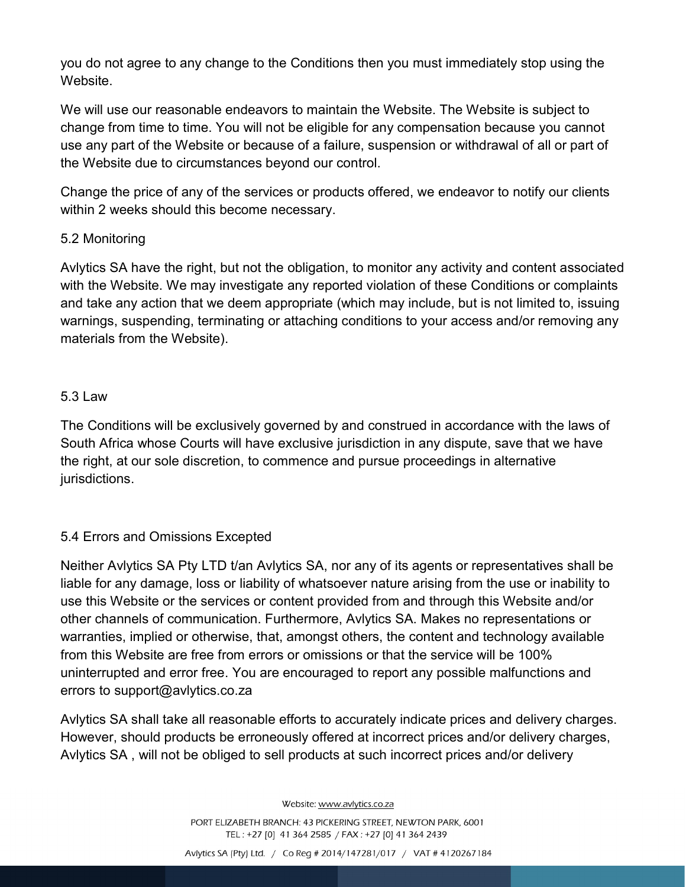you do not agree to any change to the Conditions then you must immediately stop using the **Website** 

We will use our reasonable endeavors to maintain the Website. The Website is subject to change from time to time. You will not be eligible for any compensation because you cannot use any part of the Website or because of a failure, suspension or withdrawal of all or part of the Website due to circumstances beyond our control.

Change the price of any of the services or products offered, we endeavor to notify our clients within 2 weeks should this become necessary.

## 5.2 Monitoring

Avlytics SA have the right, but not the obligation, to monitor any activity and content associated with the Website. We may investigate any reported violation of these Conditions or complaints and take any action that we deem appropriate (which may include, but is not limited to, issuing warnings, suspending, terminating or attaching conditions to your access and/or removing any materials from the Website).

### 5.3 Law

The Conditions will be exclusively governed by and construed in accordance with the laws of South Africa whose Courts will have exclusive jurisdiction in any dispute, save that we have the right, at our sole discretion, to commence and pursue proceedings in alternative jurisdictions.

## 5.4 Errors and Omissions Excepted

Neither Avlytics SA Pty LTD t/an Avlytics SA, nor any of its agents or representatives shall be liable for any damage, loss or liability of whatsoever nature arising from the use or inability to use this Website or the services or content provided from and through this Website and/or other channels of communication. Furthermore, Avlytics SA. Makes no representations or warranties, implied or otherwise, that, amongst others, the content and technology available from this Website are free from errors or omissions or that the service will be 100% uninterrupted and error free. You are encouraged to report any possible malfunctions and errors to support@avlytics.co.za

Avlytics SA shall take all reasonable efforts to accurately indicate prices and delivery charges. However, should products be erroneously offered at incorrect prices and/or delivery charges, Avlytics SA , will not be obliged to sell products at such incorrect prices and/or delivery

Website: www.avlytics.co.za

PORT ELIZABETH BRANCH: 43 PICKERING STREET, NEWTON PARK, 6001 TEL: +27 [0] 41 364 2585 / FAX: +27 [0] 41 364 2439